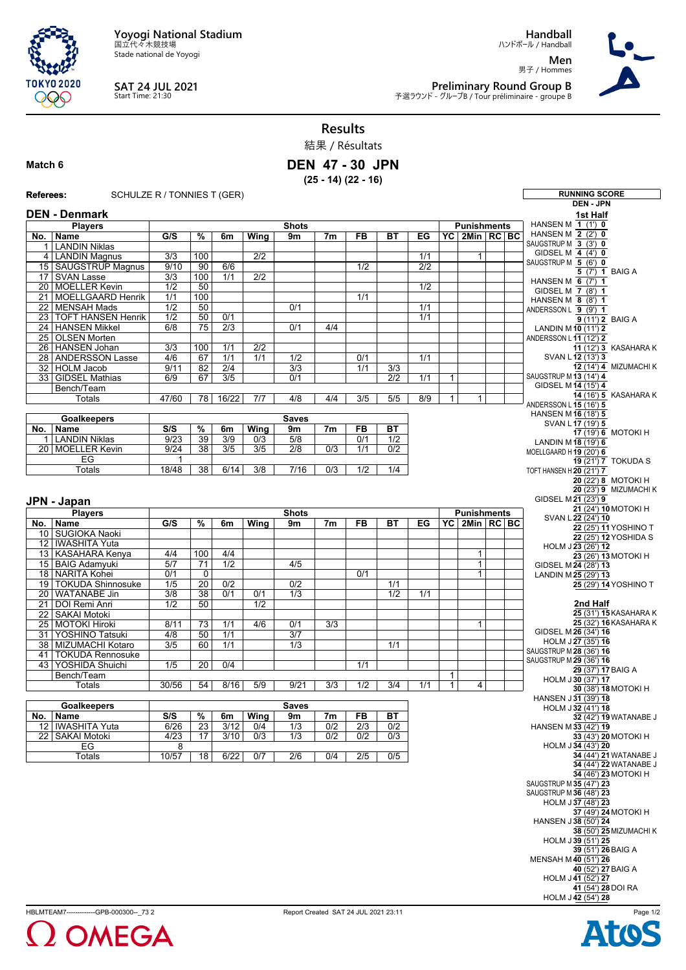**Yoyogi National Stadium** 国立代々木競技場

Stade national de Yoyogi



## **SAT 24 JUL 2021** Start Time: 21:30

**Handball** ハンドボール / Handball

**Men** 男子 / Hommes



**Preliminary Round Group B**<br>予選ラウンド - グループB / Tour préliminaire - groupe B

## **Results**

結果 / Résultats

## **Match 6**

**DEN 47 - 30 JPN (25 - 14) (22 - 16)**

**Referees:** SCHULZE R / TONNIES T (GER) **RUNNING SCORE**

|      |                           |                  |                          |                  |                  |                  |                  |                  |                  |     |              |                    |  | <b>DEN - JPN</b>                             |
|------|---------------------------|------------------|--------------------------|------------------|------------------|------------------|------------------|------------------|------------------|-----|--------------|--------------------|--|----------------------------------------------|
|      | <b>DEN - Denmark</b>      |                  |                          |                  |                  |                  |                  |                  |                  |     |              |                    |  | 1st Half                                     |
|      | <b>Players</b>            |                  |                          |                  |                  | <b>Shots</b>     |                  |                  |                  |     |              | <b>Punishments</b> |  | HANSEN M 1 (1') 0                            |
|      | No.   Name                | G/S              | $\overline{\frac{9}{6}}$ | 6m               | Wing             | 9m               | 7 <sub>m</sub>   | <b>FB</b>        | <b>BT</b>        | EG  |              | YC 2Min RC BC      |  | HANSEN M 2 (2') 0                            |
|      | 1   LANDIN Niklas         |                  |                          |                  |                  |                  |                  |                  |                  |     |              |                    |  | SAUGSTRUP M 3 (3') 0                         |
|      | 4 LANDIN Magnus           | $\overline{3/3}$ | 100                      |                  | $\overline{2/2}$ |                  |                  |                  |                  | 1/1 |              | $\mathbf{1}$       |  | GIDSEL M $4$ (4') 0                          |
|      | 15 SAUGSTRUP Magnus       | 9/10             | 90                       | 6/6              |                  |                  |                  | 1/2              |                  | 2/2 |              |                    |  | SAUGSTRUP M 5 (6') 0                         |
|      | 17 SVAN Lasse             | $\overline{3/3}$ | 100                      | 1/1              | 2/2              |                  |                  |                  |                  |     |              |                    |  | 5 (7') 1 BAIG A<br>HANSEN M $6$ (7') 1       |
|      | 20 MOELLER Kevin          | 1/2              | 50                       |                  |                  |                  |                  |                  |                  | 1/2 |              |                    |  | GIDSEL M 7 (8') 1                            |
|      | 21 MOELLGAARD Henrik      | 1/1              | 100                      |                  |                  |                  |                  | 1/1              |                  |     |              |                    |  | HANSEN M 8 (8') 1                            |
| 22   | <b>MENSAH Mads</b>        | $\overline{1/2}$ | 50                       |                  |                  | 0/1              |                  |                  |                  | 1/1 |              |                    |  | ANDERSSON L 9 (9') 1                         |
| 23 I | <b>TOFT HANSEN Henrik</b> | 1/2              | 50                       | 0/1              |                  |                  |                  |                  |                  | 1/1 |              |                    |  | 9 (11') 2 BAIG A                             |
| 24   | <b>HANSEN Mikkel</b>      | 6/8              | 75                       | $\overline{2/3}$ |                  | 0/1              | 4/4              |                  |                  |     |              |                    |  | LANDIN M 10 (11') 2                          |
|      | 25 OLSEN Morten           |                  |                          |                  |                  |                  |                  |                  |                  |     |              |                    |  | ANDERSSON L 11 (12') 2                       |
|      | 26 HANSEN Johan           | $\overline{3/3}$ | 100                      | $\overline{1/1}$ | $\overline{2/2}$ |                  |                  |                  |                  |     |              |                    |  | 11 (12') 3 KASAHARA K                        |
|      | 28   ANDERSSON Lasse      | 4/6              | 67                       | $\overline{1/1}$ | 1/1              | 1/2              |                  | 0/1              |                  | 1/1 |              |                    |  | SVAN L $12(13)$ 3                            |
|      | 32   HOLM Jacob           | 9/11             | 82                       | 2/4              |                  | $\overline{3/3}$ |                  | 1/1              | 3/3              |     |              |                    |  | 12 (14') 4 MIZUMACHI K                       |
|      | 33   GIDSEL Mathias       | 6/9              | 67                       | $\overline{3/5}$ |                  | 0/1              |                  |                  | $\overline{2/2}$ | 1/1 | $\mathbf{1}$ |                    |  | SAUGSTRUP M 13 (14') 4                       |
|      | Bench/Team                |                  |                          |                  |                  |                  |                  |                  |                  |     |              |                    |  | GIDSEL M 14 (15') 4                          |
|      | Totals                    | 47/60            | $\overline{78}$          | 16/22            | 7/7              | 4/8              | 4/4              | $\overline{3/5}$ | 5/5              | 8/9 | $\mathbf{1}$ | $\mathbf{1}$       |  | <b>14 (16') 5 KASAHARA K</b>                 |
|      |                           |                  |                          |                  |                  |                  |                  |                  |                  |     |              |                    |  | ANDERSSON L 15 (16') 5                       |
|      | <b>Goalkeepers</b>        |                  |                          |                  |                  | <b>Saves</b>     |                  |                  |                  |     |              |                    |  | HANSEN M16 (18') 5<br>SVAN L 17 (19') 5      |
| No.  | Name                      | S/S              | $\%$                     | 6m               | Wing             | 9m               | 7 <sub>m</sub>   | FB               | <b>BT</b>        |     |              |                    |  | 17 (19') 6 MOTOKI H                          |
|      | 1   LANDIN Niklas         | 9/23             | 39                       | 3/9              | 0/3              | 5/8              |                  | 0/1              | 1/2              |     |              |                    |  | LANDIN M18 (19') 6                           |
|      | 20 MOELLER Kevin          | 9/24             | $\overline{38}$          | $\overline{3/5}$ | 3/5              | $\overline{2/8}$ | 0/3              | 1/1              | 0/2              |     |              |                    |  | MOELLGAARD H19 (20') 6                       |
|      | EG                        | 1                |                          |                  |                  |                  |                  |                  |                  |     |              |                    |  | $\overline{19(21')7}$ TOKUDA S               |
|      | <b>Totals</b>             | 18/48            | $\overline{38}$          | 6/14             | 3/8              | 7/16             | 0/3              | 1/2              | 1/4              |     |              |                    |  | TOFT HANSEN H $20(21)$ 7                     |
|      |                           |                  |                          |                  |                  |                  |                  |                  |                  |     |              |                    |  | 20 (22') 8 MOTOKI H                          |
|      |                           |                  |                          |                  |                  |                  |                  |                  |                  |     |              |                    |  | 20 (23') 9 MIZUMACHI K                       |
|      | JPN - Japan               |                  |                          |                  |                  |                  |                  |                  |                  |     |              |                    |  | GIDSEL M21 (23') 9                           |
|      | <b>Players</b>            |                  |                          |                  |                  | <b>Shots</b>     |                  |                  |                  |     |              | <b>Punishments</b> |  | 21 (24') 10 MOTOKI H                         |
| No.  | Name                      | G/S              | $\overline{\%}$          | 6m               | Wing             | 9m               | 7m               | FB               | ВT               | EG  |              | YC 2Min RC BC      |  | SVAN L 22 (24') 10                           |
|      | 10 SUGIOKA Naoki          |                  |                          |                  |                  |                  |                  |                  |                  |     |              |                    |  | 22 (25') 11 YOSHINO T                        |
|      | 12   IWASHITA Yuta        |                  |                          |                  |                  |                  |                  |                  |                  |     |              |                    |  | 22 (25') 12 YOSHIDA S                        |
|      | 13 KASAHARA Kenya         | 4/4              | 100                      | 4/4              |                  |                  |                  |                  |                  |     |              | $\mathbf{1}$       |  | HOLM J23 (26') 12                            |
|      | 15 BAIG Adamyuki          | 5/7              | 71                       | 1/2              |                  | 4/5              |                  |                  |                  |     |              | $\mathbf{1}$       |  | 23 (26') 13 MOTOKI H<br>GIDSEL M 24 (28') 13 |
|      | 18   NARITA Kohei         | 0/1              | $\mathbf 0$              |                  |                  |                  |                  | 0/1              |                  |     |              | 1                  |  | LANDIN M25 (29') 13                          |
|      | 19   TOKUDA Shinnosuke    | 1/5              | 20                       | 0/2              |                  | 0/2              |                  |                  | 1/1              |     |              |                    |  | 25 (29') 14 YOSHINO T                        |
|      | 20 WATANABE Jin           | $\overline{3/8}$ | $\overline{38}$          | 0/1              | 0/1              | 1/3              |                  |                  | 1/2              | 1/1 |              |                    |  |                                              |
|      | 21 DOI Remi Anri          | 1/2              | 50                       |                  | $\overline{1/2}$ |                  |                  |                  |                  |     |              |                    |  | 2nd Half                                     |
|      | 22   SAKAI Motoki         |                  |                          |                  |                  |                  |                  |                  |                  |     |              |                    |  | 25 (31') 15 KASAHARA K                       |
|      | 25 MOTOKI Hiroki          | 8/11             | 73                       | 1/1              | 4/6              | 0/1              | $\overline{3/3}$ |                  |                  |     |              | 1                  |  | 25 (32') 16 KASAHARA K                       |
| 31 I | YOSHINO Tatsuki           | 4/8              | 50                       | 1/1              |                  | 3/7              |                  |                  |                  |     |              |                    |  | GIDSEL M 26 (34') 16                         |
|      | 38 MIZUMACHI Kotaro       | $\overline{3/5}$ | 60                       | 1/1              |                  | $\overline{1/3}$ |                  |                  | 1/1              |     |              |                    |  | HOLM J27 (35') 16                            |
|      | 41   TOKUDA Rennosuke     |                  |                          |                  |                  |                  |                  |                  |                  |     |              |                    |  | SAUGSTRUP M 28 (36') 16                      |
|      | 43 YOSHIDA Shuichi        | $\overline{1/5}$ | $\overline{20}$          | 0/4              |                  |                  |                  | 1/1              |                  |     |              |                    |  | SAUGSTRUP M 29 (36') 16                      |
|      | Bench/Team                |                  |                          |                  |                  |                  |                  |                  |                  |     | $\mathbf{1}$ |                    |  | 29 (37') 17 BAIG A                           |
|      | Totals                    | 30/56            | 54                       | 8/16             | 5/9              | 9/21             | 3/3              | 1/2              | 3/4              | 1/1 | $\mathbf{1}$ | 4                  |  | HOLM J30 (37') 17<br>30 (38') 18 MOTOKI H    |
|      |                           |                  |                          |                  |                  |                  |                  |                  |                  |     |              |                    |  | HANSEN J31 (39') 18                          |
|      | <b>Goalkeepers</b>        |                  |                          |                  |                  | <b>Saves</b>     |                  |                  |                  |     |              |                    |  | HOLM J32 (41') 18                            |
|      | No. Name                  | S/S              | $\frac{9}{6}$            | 6m               | Wing             | 9m               | 7m               | FB               | BT               |     |              |                    |  | 32 (42') 19 WATANABE J                       |
|      | 12   IWASHITA Yuta        | 6/26             | 23                       | 3/12             | 0/4              | 1/3              | 0/2              | 2/3              | 0/2              |     |              |                    |  | HANSEN M33 (42') 19                          |
|      | 22   SAKAI Motoki         | 4/23             | 17                       | 3/10             | 0/3              | 1/3              | 0/2              | 0/2              | 0/3              |     |              |                    |  | 33 (43') 20 MOTOKI H                         |
|      | EG                        | 8                |                          |                  |                  |                  |                  |                  |                  |     |              |                    |  | HOLM J34 (43') 20                            |
|      | Totals                    | 10/57            | 18                       | 6/22             | 0/7              | 2/6              | 0/4              | 2/5              | 0/5              |     |              |                    |  | 34 (44') 21 WATANABE J                       |
|      |                           |                  |                          |                  |                  |                  |                  |                  |                  |     |              |                    |  | 34 (44') 22 WATANABE J                       |
|      |                           |                  |                          |                  |                  |                  |                  |                  |                  |     |              |                    |  | 34 (46') 23 MOTOKI H                         |
|      |                           |                  |                          |                  |                  |                  |                  |                  |                  |     |              |                    |  | SAUGSTRUP M 35 (47') 23                      |
|      |                           |                  |                          |                  |                  |                  |                  |                  |                  |     |              |                    |  | SAUGSTRUP M 36 (48') 23                      |
|      |                           |                  |                          |                  |                  |                  |                  |                  |                  |     |              |                    |  | HOLM J37 (48') 23                            |
|      |                           |                  |                          |                  |                  |                  |                  |                  |                  |     |              |                    |  | 37 (49') 24 MOTOKI H<br>HANSEN J38 (50') 24  |
|      |                           |                  |                          |                  |                  |                  |                  |                  |                  |     |              |                    |  | 38 (50') 25 MIZUMACHI K                      |
|      |                           |                  |                          |                  |                  |                  |                  |                  |                  |     |              |                    |  | HOLM J39 (51') 25                            |
|      |                           |                  |                          |                  |                  |                  |                  |                  |                  |     |              |                    |  | 39 (51') 26 BAIG A                           |
|      |                           |                  |                          |                  |                  |                  |                  |                  |                  |     |              |                    |  | MENSAH M40 (51') 26                          |
|      |                           |                  |                          |                  |                  |                  |                  |                  |                  |     |              |                    |  | 40 (52') 27 BAIG A                           |
|      |                           |                  |                          |                  |                  |                  |                  |                  |                  |     |              |                    |  | HOLM J41 (52') 27                            |
|      |                           |                  |                          |                  |                  |                  |                  |                  |                  |     |              |                    |  | 41 (54') 28 DOI RA                           |
|      |                           |                  |                          |                  |                  |                  |                  |                  |                  |     |              |                    |  | HOLM J42 (54') 28                            |